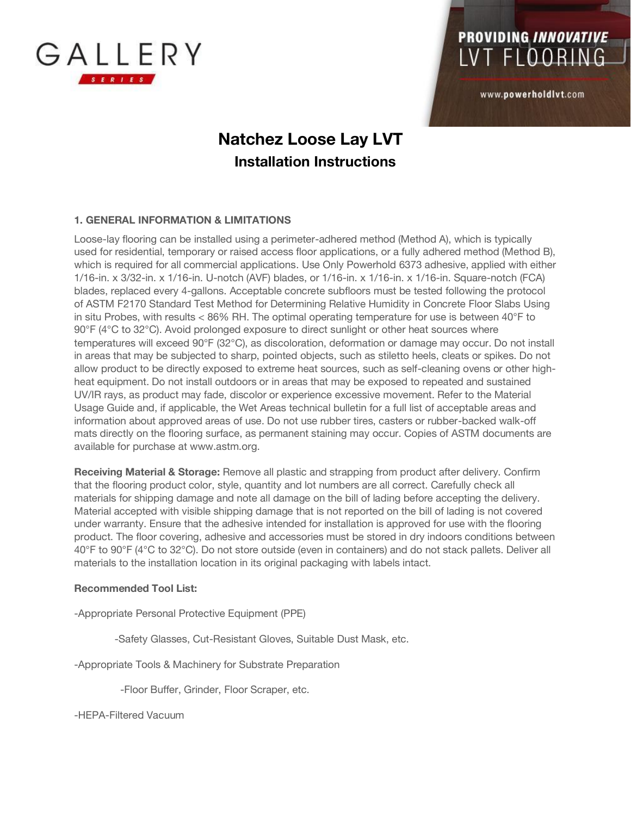

www.powerholdlvt.com

### **Natchez Loose Lay LVT Installation Instructions**

#### **1. GENERAL INFORMATION & LIMITATIONS**

Loose-lay flooring can be installed using a perimeter-adhered method (Method A), which is typically used for residential, temporary or raised access floor applications, or a fully adhered method (Method B), which is required for all commercial applications. Use Only Powerhold 6373 adhesive, applied with either 1/16-in. x 3/32-in. x 1/16-in. U-notch (AVF) blades, or 1/16-in. x 1/16-in. x 1/16-in. Square-notch (FCA) blades, replaced every 4-gallons. Acceptable concrete subfloors must be tested following the protocol of ASTM F2170 Standard Test Method for Determining Relative Humidity in Concrete Floor Slabs Using in situ Probes, with results  $<$  86% RH. The optimal operating temperature for use is between 40°F to 90°F (4°C to 32°C). Avoid prolonged exposure to direct sunlight or other heat sources where temperatures will exceed 90°F (32°C), as discoloration, deformation or damage may occur. Do not install in areas that may be subjected to sharp, pointed objects, such as stiletto heels, cleats or spikes. Do not allow product to be directly exposed to extreme heat sources, such as self-cleaning ovens or other highheat equipment. Do not install outdoors or in areas that may be exposed to repeated and sustained UV/IR rays, as product may fade, discolor or experience excessive movement. Refer to the Material Usage Guide and, if applicable, the Wet Areas technical bulletin for a full list of acceptable areas and information about approved areas of use. Do not use rubber tires, casters or rubber-backed walk-off mats directly on the flooring surface, as permanent staining may occur. Copies of ASTM documents are available for purchase at www.astm.org.

**Receiving Material & Storage:** Remove all plastic and strapping from product after delivery. Confirm that the flooring product color, style, quantity and lot numbers are all correct. Carefully check all materials for shipping damage and note all damage on the bill of lading before accepting the delivery. Material accepted with visible shipping damage that is not reported on the bill of lading is not covered under warranty. Ensure that the adhesive intended for installation is approved for use with the flooring product. The floor covering, adhesive and accessories must be stored in dry indoors conditions between 40°F to 90°F (4°C to 32°C). Do not store outside (even in containers) and do not stack pallets. Deliver all materials to the installation location in its original packaging with labels intact.

#### **Recommended Tool List:**

-Appropriate Personal Protective Equipment (PPE)

-Safety Glasses, Cut-Resistant Gloves, Suitable Dust Mask, etc.

-Appropriate Tools & Machinery for Substrate Preparation

-Floor Buffer, Grinder, Floor Scraper, etc.

-HEPA-Filtered Vacuum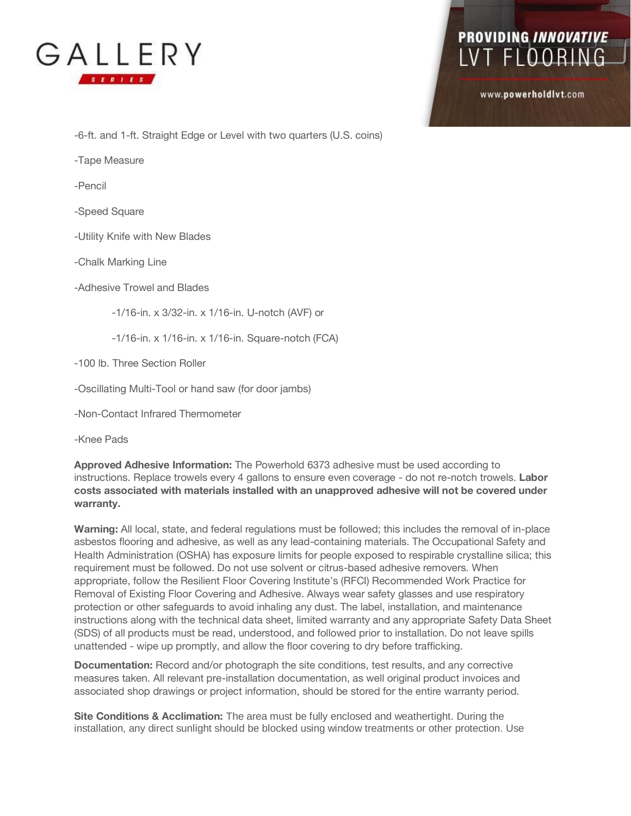

www.powerholdlvt.com

-6-ft. and 1-ft. Straight Edge or Level with two quarters (U.S. coins)

-Tape Measure

-Pencil

-Speed Square

-Utility Knife with New Blades

-Chalk Marking Line

-Adhesive Trowel and Blades

-1/16-in. x 3/32-in. x 1/16-in. U-notch (AVF) or

-1/16-in. x 1/16-in. x 1/16-in. Square-notch (FCA)

-100 lb. Three Section Roller

-Oscillating Multi-Tool or hand saw (for door jambs)

-Non-Contact Infrared Thermometer

-Knee Pads

**Approved Adhesive Information:** The Powerhold 6373 adhesive must be used according to instructions. Replace trowels every 4 gallons to ensure even coverage - do not re-notch trowels. **Labor costs associated with materials installed with an unapproved adhesive will not be covered under warranty.** 

**Warning:** All local, state, and federal regulations must be followed; this includes the removal of in-place asbestos flooring and adhesive, as well as any lead-containing materials. The Occupational Safety and Health Administration (OSHA) has exposure limits for people exposed to respirable crystalline silica; this requirement must be followed. Do not use solvent or citrus-based adhesive removers. When appropriate, follow the Resilient Floor Covering Institute's (RFCI) Recommended Work Practice for Removal of Existing Floor Covering and Adhesive. Always wear safety glasses and use respiratory protection or other safeguards to avoid inhaling any dust. The label, installation, and maintenance instructions along with the technical data sheet, limited warranty and any appropriate Safety Data Sheet (SDS) of all products must be read, understood, and followed prior to installation. Do not leave spills unattended - wipe up promptly, and allow the floor covering to dry before trafficking.

**Documentation:** Record and/or photograph the site conditions, test results, and any corrective measures taken. All relevant pre-installation documentation, as well original product invoices and associated shop drawings or project information, should be stored for the entire warranty period.

**Site Conditions & Acclimation:** The area must be fully enclosed and weathertight. During the installation, any direct sunlight should be blocked using window treatments or other protection. Use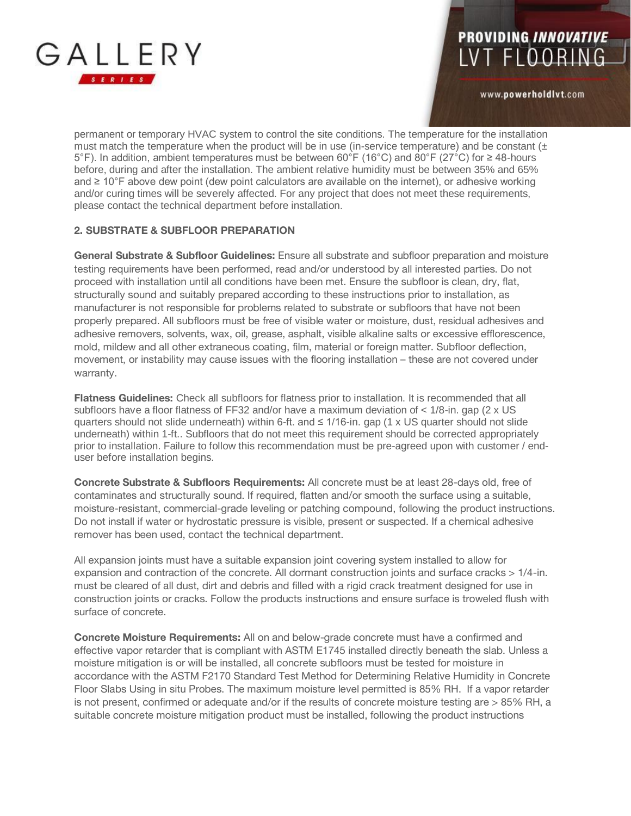

www.powerholdlvt.com

permanent or temporary HVAC system to control the site conditions. The temperature for the installation must match the temperature when the product will be in use (in-service temperature) and be constant  $(±)$ 5°F). In addition, ambient temperatures must be between 60°F (16°C) and 80°F (27°C) for ≥ 48-hours before, during and after the installation. The ambient relative humidity must be between 35% and 65% and ≥ 10°F above dew point (dew point calculators are available on the internet), or adhesive working and/or curing times will be severely affected. For any project that does not meet these requirements, please contact the technical department before installation.

### **2. SUBSTRATE & SUBFLOOR PREPARATION**

**General Substrate & Subfloor Guidelines:** Ensure all substrate and subfloor preparation and moisture testing requirements have been performed, read and/or understood by all interested parties. Do not proceed with installation until all conditions have been met. Ensure the subfloor is clean, dry, flat, structurally sound and suitably prepared according to these instructions prior to installation, as manufacturer is not responsible for problems related to substrate or subfloors that have not been properly prepared. All subfloors must be free of visible water or moisture, dust, residual adhesives and adhesive removers, solvents, wax, oil, grease, asphalt, visible alkaline salts or excessive efflorescence, mold, mildew and all other extraneous coating, film, material or foreign matter. Subfloor deflection, movement, or instability may cause issues with the flooring installation – these are not covered under warranty.

**Flatness Guidelines:** Check all subfloors for flatness prior to installation. It is recommended that all subfloors have a floor flatness of FF32 and/or have a maximum deviation of < 1/8-in. gap (2 x US quarters should not slide underneath) within 6-ft. and ≤ 1/16-in. gap (1 x US quarter should not slide underneath) within 1-ft.. Subfloors that do not meet this requirement should be corrected appropriately prior to installation. Failure to follow this recommendation must be pre-agreed upon with customer / enduser before installation begins.

**Concrete Substrate & Subfloors Requirements:** All concrete must be at least 28-days old, free of contaminates and structurally sound. If required, flatten and/or smooth the surface using a suitable, moisture-resistant, commercial-grade leveling or patching compound, following the product instructions. Do not install if water or hydrostatic pressure is visible, present or suspected. If a chemical adhesive remover has been used, contact the technical department.

All expansion joints must have a suitable expansion joint covering system installed to allow for expansion and contraction of the concrete. All dormant construction joints and surface cracks > 1/4-in. must be cleared of all dust, dirt and debris and filled with a rigid crack treatment designed for use in construction joints or cracks. Follow the products instructions and ensure surface is troweled flush with surface of concrete.

**Concrete Moisture Requirements:** All on and below-grade concrete must have a confirmed and effective vapor retarder that is compliant with ASTM E1745 installed directly beneath the slab. Unless a moisture mitigation is or will be installed, all concrete subfloors must be tested for moisture in accordance with the ASTM F2170 Standard Test Method for Determining Relative Humidity in Concrete Floor Slabs Using in situ Probes. The maximum moisture level permitted is 85% RH. If a vapor retarder is not present, confirmed or adequate and/or if the results of concrete moisture testing are > 85% RH, a suitable concrete moisture mitigation product must be installed, following the product instructions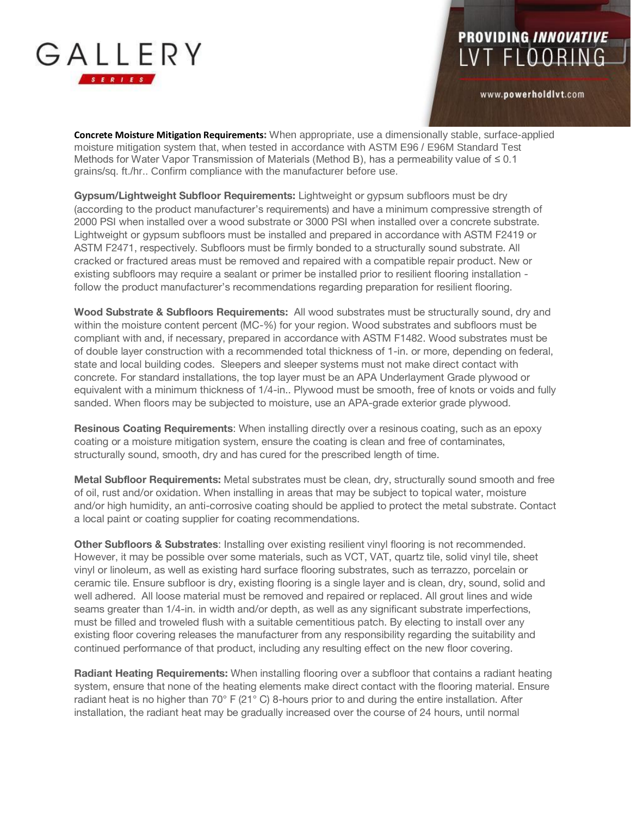

www.powerholdlvt.com

**Concrete Moisture Mitigation Requirements:** When appropriate, use a dimensionally stable, surface-applied moisture mitigation system that, when tested in accordance with ASTM E96 / E96M Standard Test Methods for Water Vapor Transmission of Materials (Method B), has a permeability value of ≤ 0.1 grains/sq. ft./hr.. Confirm compliance with the manufacturer before use.

**Gypsum/Lightweight Subfloor Requirements:** Lightweight or gypsum subfloors must be dry (according to the product manufacturer's requirements) and have a minimum compressive strength of 2000 PSI when installed over a wood substrate or 3000 PSI when installed over a concrete substrate. Lightweight or gypsum subfloors must be installed and prepared in accordance with ASTM F2419 or ASTM F2471, respectively. Subfloors must be firmly bonded to a structurally sound substrate. All cracked or fractured areas must be removed and repaired with a compatible repair product. New or existing subfloors may require a sealant or primer be installed prior to resilient flooring installation follow the product manufacturer's recommendations regarding preparation for resilient flooring.

**Wood Substrate & Subfloors Requirements:** All wood substrates must be structurally sound, dry and within the moisture content percent (MC-%) for your region. Wood substrates and subfloors must be compliant with and, if necessary, prepared in accordance with ASTM F1482. Wood substrates must be of double layer construction with a recommended total thickness of 1-in. or more, depending on federal, state and local building codes. Sleepers and sleeper systems must not make direct contact with concrete. For standard installations, the top layer must be an APA Underlayment Grade plywood or equivalent with a minimum thickness of 1/4-in.. Plywood must be smooth, free of knots or voids and fully sanded. When floors may be subjected to moisture, use an APA-grade exterior grade plywood.

**Resinous Coating Requirements**: When installing directly over a resinous coating, such as an epoxy coating or a moisture mitigation system, ensure the coating is clean and free of contaminates, structurally sound, smooth, dry and has cured for the prescribed length of time.

**Metal Subfloor Requirements:** Metal substrates must be clean, dry, structurally sound smooth and free of oil, rust and/or oxidation. When installing in areas that may be subject to topical water, moisture and/or high humidity, an anti-corrosive coating should be applied to protect the metal substrate. Contact a local paint or coating supplier for coating recommendations.

**Other Subfloors & Substrates**: Installing over existing resilient vinyl flooring is not recommended. However, it may be possible over some materials, such as VCT, VAT, quartz tile, solid vinyl tile, sheet vinyl or linoleum, as well as existing hard surface flooring substrates, such as terrazzo, porcelain or ceramic tile. Ensure subfloor is dry, existing flooring is a single layer and is clean, dry, sound, solid and well adhered. All loose material must be removed and repaired or replaced. All grout lines and wide seams greater than 1/4-in. in width and/or depth, as well as any significant substrate imperfections, must be filled and troweled flush with a suitable cementitious patch. By electing to install over any existing floor covering releases the manufacturer from any responsibility regarding the suitability and continued performance of that product, including any resulting effect on the new floor covering.

**Radiant Heating Requirements:** When installing flooring over a subfloor that contains a radiant heating system, ensure that none of the heating elements make direct contact with the flooring material. Ensure radiant heat is no higher than 70° F (21° C) 8-hours prior to and during the entire installation. After installation, the radiant heat may be gradually increased over the course of 24 hours, until normal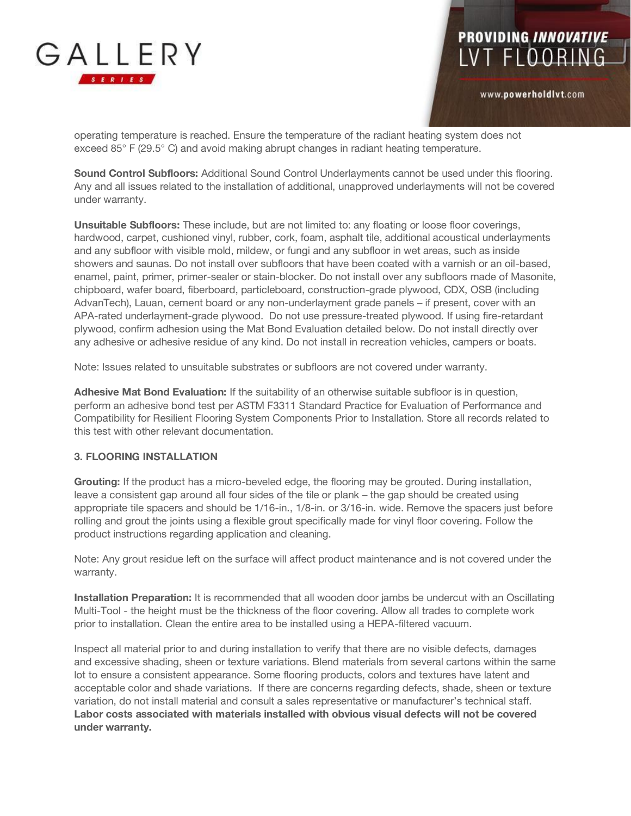

www.powerholdlvt.com

operating temperature is reached. Ensure the temperature of the radiant heating system does not exceed 85° F (29.5° C) and avoid making abrupt changes in radiant heating temperature.

**Sound Control Subfloors:** Additional Sound Control Underlayments cannot be used under this flooring. Any and all issues related to the installation of additional, unapproved underlayments will not be covered under warranty.

**Unsuitable Subfloors:** These include, but are not limited to: any floating or loose floor coverings, hardwood, carpet, cushioned vinyl, rubber, cork, foam, asphalt tile, additional acoustical underlayments and any subfloor with visible mold, mildew, or fungi and any subfloor in wet areas, such as inside showers and saunas. Do not install over subfloors that have been coated with a varnish or an oil-based, enamel, paint, primer, primer-sealer or stain-blocker. Do not install over any subfloors made of Masonite, chipboard, wafer board, fiberboard, particleboard, construction-grade plywood, CDX, OSB (including AdvanTech), Lauan, cement board or any non-underlayment grade panels – if present, cover with an APA-rated underlayment-grade plywood. Do not use pressure-treated plywood. If using fire-retardant plywood, confirm adhesion using the Mat Bond Evaluation detailed below. Do not install directly over any adhesive or adhesive residue of any kind. Do not install in recreation vehicles, campers or boats.

Note: Issues related to unsuitable substrates or subfloors are not covered under warranty.

**Adhesive Mat Bond Evaluation:** If the suitability of an otherwise suitable subfloor is in question, perform an adhesive bond test per ASTM F3311 Standard Practice for Evaluation of Performance and Compatibility for Resilient Flooring System Components Prior to Installation. Store all records related to this test with other relevant documentation.

#### **3. FLOORING INSTALLATION**

**Grouting:** If the product has a micro-beveled edge, the flooring may be grouted. During installation, leave a consistent gap around all four sides of the tile or plank – the gap should be created using appropriate tile spacers and should be 1/16-in., 1/8-in. or 3/16-in. wide. Remove the spacers just before rolling and grout the joints using a flexible grout specifically made for vinyl floor covering. Follow the product instructions regarding application and cleaning.

Note: Any grout residue left on the surface will affect product maintenance and is not covered under the warranty.

**Installation Preparation:** It is recommended that all wooden door jambs be undercut with an Oscillating Multi-Tool - the height must be the thickness of the floor covering. Allow all trades to complete work prior to installation. Clean the entire area to be installed using a HEPA-filtered vacuum.

Inspect all material prior to and during installation to verify that there are no visible defects, damages and excessive shading, sheen or texture variations. Blend materials from several cartons within the same lot to ensure a consistent appearance. Some flooring products, colors and textures have latent and acceptable color and shade variations. If there are concerns regarding defects, shade, sheen or texture variation, do not install material and consult a sales representative or manufacturer's technical staff. **Labor costs associated with materials installed with obvious visual defects will not be covered under warranty.**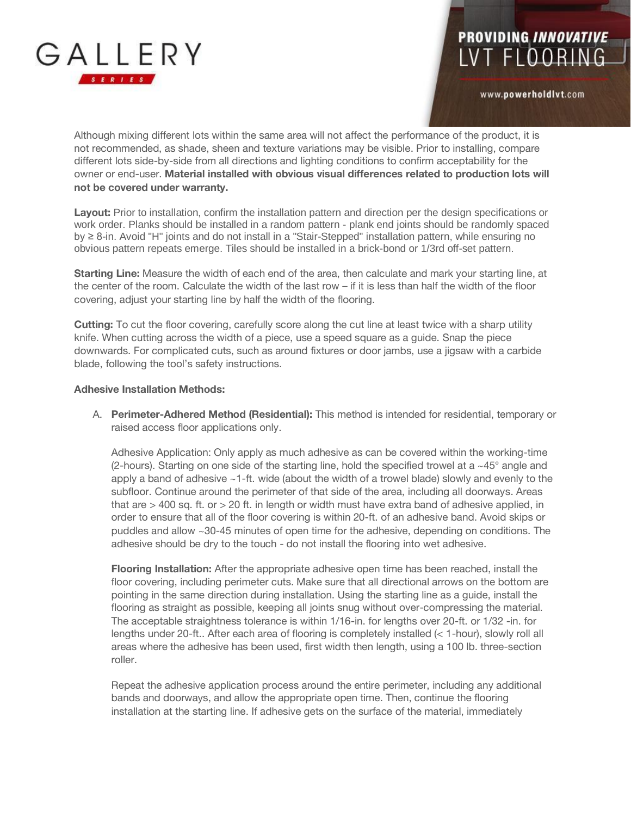

www.powerholdlvt.com

Although mixing different lots within the same area will not affect the performance of the product, it is not recommended, as shade, sheen and texture variations may be visible. Prior to installing, compare different lots side-by-side from all directions and lighting conditions to confirm acceptability for the owner or end-user. **Material installed with obvious visual differences related to production lots will not be covered under warranty.**

**Layout:** Prior to installation, confirm the installation pattern and direction per the design specifications or work order. Planks should be installed in a random pattern - plank end joints should be randomly spaced by ≥ 8-in. Avoid "H" joints and do not install in a "Stair-Stepped" installation pattern, while ensuring no obvious pattern repeats emerge. Tiles should be installed in a brick-bond or 1/3rd off-set pattern.

**Starting Line:** Measure the width of each end of the area, then calculate and mark your starting line, at the center of the room. Calculate the width of the last row – if it is less than half the width of the floor covering, adjust your starting line by half the width of the flooring.

**Cutting:** To cut the floor covering, carefully score along the cut line at least twice with a sharp utility knife. When cutting across the width of a piece, use a speed square as a guide. Snap the piece downwards. For complicated cuts, such as around fixtures or door jambs, use a jigsaw with a carbide blade, following the tool's safety instructions.

#### **Adhesive Installation Methods:**

A. **Perimeter-Adhered Method (Residential):** This method is intended for residential, temporary or raised access floor applications only.

Adhesive Application: Only apply as much adhesive as can be covered within the working-time (2-hours). Starting on one side of the starting line, hold the specified trowel at a  $\sim$ 45 $^{\circ}$  angle and apply a band of adhesive  $\sim$  1-ft. wide (about the width of a trowel blade) slowly and evenly to the subfloor. Continue around the perimeter of that side of the area, including all doorways. Areas that are  $>$  400 sq. ft. or  $>$  20 ft. in length or width must have extra band of adhesive applied, in order to ensure that all of the floor covering is within 20-ft. of an adhesive band. Avoid skips or puddles and allow ~30-45 minutes of open time for the adhesive, depending on conditions. The adhesive should be dry to the touch - do not install the flooring into wet adhesive.

**Flooring Installation:** After the appropriate adhesive open time has been reached, install the floor covering, including perimeter cuts. Make sure that all directional arrows on the bottom are pointing in the same direction during installation. Using the starting line as a guide, install the flooring as straight as possible, keeping all joints snug without over-compressing the material. The acceptable straightness tolerance is within 1/16-in. for lengths over 20-ft. or 1/32 -in. for lengths under 20-ft.. After each area of flooring is completely installed (< 1-hour), slowly roll all areas where the adhesive has been used, first width then length, using a 100 lb. three-section roller.

Repeat the adhesive application process around the entire perimeter, including any additional bands and doorways, and allow the appropriate open time. Then, continue the flooring installation at the starting line. If adhesive gets on the surface of the material, immediately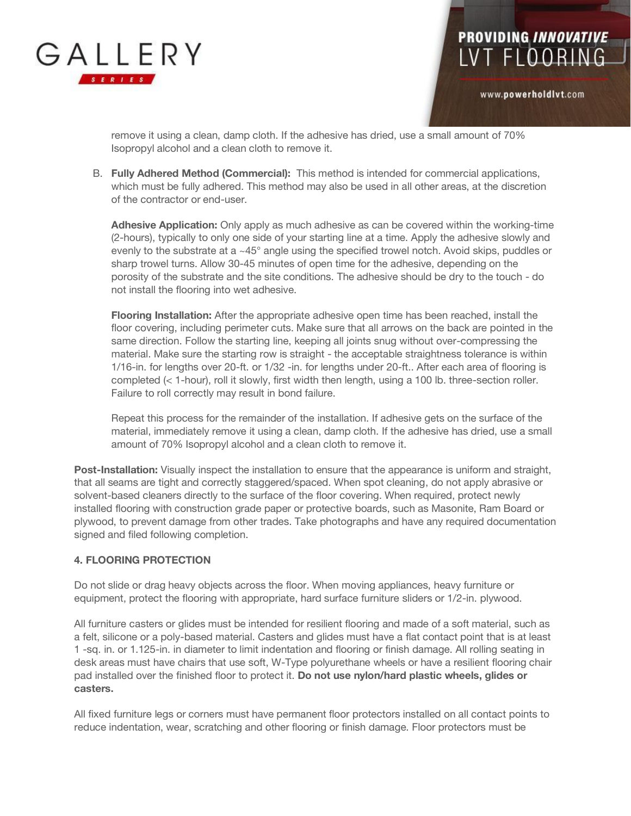

www.powerholdlvt.com

remove it using a clean, damp cloth. If the adhesive has dried, use a small amount of 70% Isopropyl alcohol and a clean cloth to remove it.

B. **Fully Adhered Method (Commercial):** This method is intended for commercial applications, which must be fully adhered. This method may also be used in all other areas, at the discretion of the contractor or end-user.

**Adhesive Application:** Only apply as much adhesive as can be covered within the working-time (2-hours), typically to only one side of your starting line at a time. Apply the adhesive slowly and evenly to the substrate at a ~45° angle using the specified trowel notch. Avoid skips, puddles or sharp trowel turns. Allow 30-45 minutes of open time for the adhesive, depending on the porosity of the substrate and the site conditions. The adhesive should be dry to the touch - do not install the flooring into wet adhesive.

**Flooring Installation:** After the appropriate adhesive open time has been reached, install the floor covering, including perimeter cuts. Make sure that all arrows on the back are pointed in the same direction. Follow the starting line, keeping all joints snug without over-compressing the material. Make sure the starting row is straight - the acceptable straightness tolerance is within 1/16-in. for lengths over 20-ft. or 1/32 -in. for lengths under 20-ft.. After each area of flooring is completed (< 1-hour), roll it slowly, first width then length, using a 100 lb. three-section roller. Failure to roll correctly may result in bond failure.

Repeat this process for the remainder of the installation. If adhesive gets on the surface of the material, immediately remove it using a clean, damp cloth. If the adhesive has dried, use a small amount of 70% Isopropyl alcohol and a clean cloth to remove it.

**Post-Installation:** Visually inspect the installation to ensure that the appearance is uniform and straight, that all seams are tight and correctly staggered/spaced. When spot cleaning, do not apply abrasive or solvent-based cleaners directly to the surface of the floor covering. When required, protect newly installed flooring with construction grade paper or protective boards, such as Masonite, Ram Board or plywood, to prevent damage from other trades. Take photographs and have any required documentation signed and filed following completion.

#### **4. FLOORING PROTECTION**

Do not slide or drag heavy objects across the floor. When moving appliances, heavy furniture or equipment, protect the flooring with appropriate, hard surface furniture sliders or 1/2-in. plywood.

All furniture casters or glides must be intended for resilient flooring and made of a soft material, such as a felt, silicone or a poly-based material. Casters and glides must have a flat contact point that is at least 1 -sq. in. or 1.125-in. in diameter to limit indentation and flooring or finish damage. All rolling seating in desk areas must have chairs that use soft, W-Type polyurethane wheels or have a resilient flooring chair pad installed over the finished floor to protect it. **Do not use nylon/hard plastic wheels, glides or casters.** 

All fixed furniture legs or corners must have permanent floor protectors installed on all contact points to reduce indentation, wear, scratching and other flooring or finish damage. Floor protectors must be